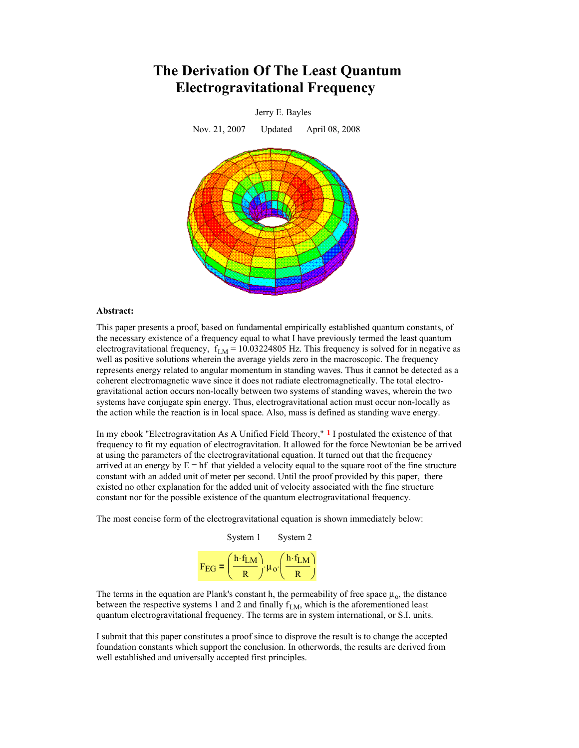# **The Derivation Of The Least Quantum Electrogravitational Frequency**



## **Abstract:**

This paper presents a proof, based on fundamental empirically established quantum constants, of the necessary existence of a frequency equal to what I have previously termed the least quantum electrogravitational frequency,  $f_{LM} = 10.03224805$  Hz. This frequency is solved for in negative as well as positive solutions wherein the average yields zero in the macroscopic. The frequency represents energy related to angular momentum in standing waves. Thus it cannot be detected as a coherent electromagnetic wave since it does not radiate electromagnetically. The total electrogravitational action occurs non-locally between two systems of standing waves, wherein the two systems have conjugate spin energy. Thus, electrogravitational action must occur non-locally as the action while the reaction is in local space. Also, mass is defined as standing wave energy.

In my ebook "Electrogravitation As A Unified Field Theory," **1** I postulated the existence of that frequency to fit my equation of electrogravitation. It allowed for the force Newtonian be be arrived at using the parameters of the electrogravitational equation. It turned out that the frequency arrived at an energy by  $E = hf$  that yielded a velocity equal to the square root of the fine structure constant with an added unit of meter per second. Until the proof provided by this paper, there existed no other explanation for the added unit of velocity associated with the fine structure constant nor for the possible existence of the quantum electrogravitational frequency.

The most concise form of the electrogravitational equation is shown immediately below:



The terms in the equation are Plank's constant h, the permeability of free space  $\mu_0$ , the distance between the respective systems 1 and 2 and finally  $f_{LM}$ , which is the aforementioned least quantum electrogravitational frequency. The terms are in system international, or S.I. units.

I submit that this paper constitutes a proof since to disprove the result is to change the accepted foundation constants which support the conclusion. In otherwords, the results are derived from well established and universally accepted first principles.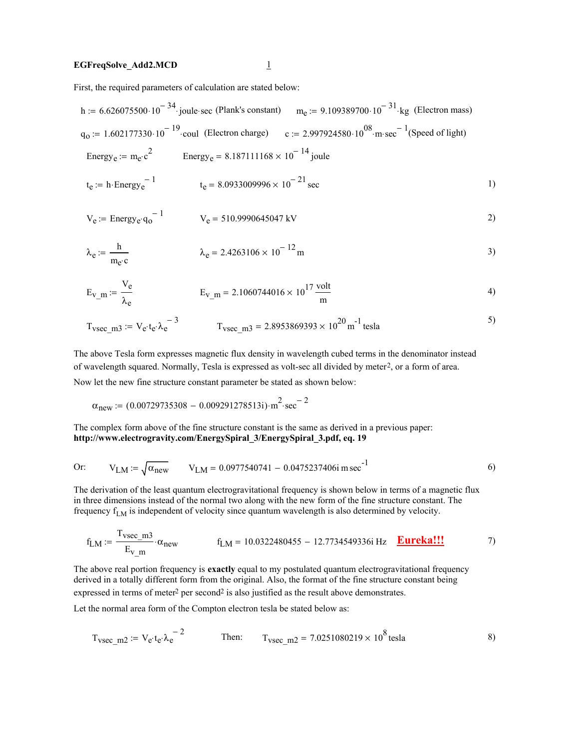# **EGFreqSolve\_Add2.MCD** 1

First, the required parameters of calculation are stated below:

h := 6.626075500·10<sup>-34</sup> joule-sec (Plank's constant) 
$$
m_e
$$
 := 9.109389700·10<sup>-31</sup> kg (Electron mass)  
\n $q_0$  := 1.602177330·10<sup>-19</sup> coul (Electron charge)  $c$  := 2.997924580·10<sup>08</sup>·m-sec<sup>-1</sup> (Speed of light)  
\nEnergy<sub>e</sub> :=  $m_e$ ·c<sup>2</sup> Energy<sub>e</sub> = 8.187111168 × 10<sup>-14</sup> joule  
\nt<sub>e</sub> := h-Energy<sub>e</sub><sup>-1</sup> t<sub>e</sub> = 8.0933009996 × 10<sup>-21</sup> sec 1)

$$
V_e := \text{Energy}_e \cdot q_0^{-1} \qquad V_e = 510.9990645047 \text{ kV} \tag{2}
$$

$$
\lambda_e := \frac{h}{m_e \cdot c} \qquad \lambda_e = 2.4263106 \times 10^{-12} \,\mathrm{m} \tag{3}
$$

$$
E_{V\_m} := \frac{V_e}{\lambda_e} \qquad E_{V\_m} = 2.1060744016 \times 10^{17} \frac{\text{volt}}{m} \tag{4}
$$

$$
T_{\text{vsec\_m3}} := V_{\text{e}} \cdot t_{\text{e}} \cdot \lambda_{\text{e}}^{-3}
$$
  
 
$$
T_{\text{vsec\_m3}} = 2.8953869393 \times 10^{20} \text{ m}^{-1} \text{ tesla}
$$

The above Tesla form expresses magnetic flux density in wavelength cubed terms in the denominator instead of wavelength squared. Normally, Tesla is expressed as volt-sec all divided by meter2, or a form of area.

Now let the new fine structure constant parameter be stated as shown below:

$$
\alpha_{new} = (0.00729735308 - 0.009291278513i) \cdot m^{2} \cdot sec^{-2}
$$

The complex form above of the fine structure constant is the same as derived in a previous paper: **http://www.electrogravity.com/EnergySpiral\_3/EnergySpiral\_3.pdf, eq. 19**

Or: 
$$
V_{LM} := \sqrt{\alpha_{new}}
$$
  $V_{LM} = 0.0977540741 - 0.0475237406i m sec-1$  (6)

The derivation of the least quantum electrogravitational frequency is shown below in terms of a magnetic flux in three dimensions instead of the normal two along with the new form of the fine structure constant. The frequency  $f_{LM}$  is independent of velocity since quantum wavelength is also determined by velocity.

$$
f_{LM} := \frac{T_{\text{vsec\_m3}}}{E_{\text{V}} \text{ m}} \cdot \alpha_{\text{new}} \qquad f_{LM} = 10.0322480455 - 12.7734549336 \text{ Hz} \qquad \frac{\text{Eureka!!}}{\text{Eureka!!}} \tag{7}
$$

The above real portion frequency is **exactly** equal to my postulated quantum electrogravitational frequency derived in a totally different form from the original. Also, the format of the fine structure constant being expressed in terms of meter<sup>2</sup> per second<sup>2</sup> is also justified as the result above demonstrates.

Let the normal area form of the Compton electron tesla be stated below as:

$$
T_{\text{vsec\_m2}} := V_{e'} t_{e'} \lambda_{e}^{-2}
$$
 Then:  $T_{\text{vsec\_m2}} = 7.0251080219 \times 10^8 \text{ tesla}$  8)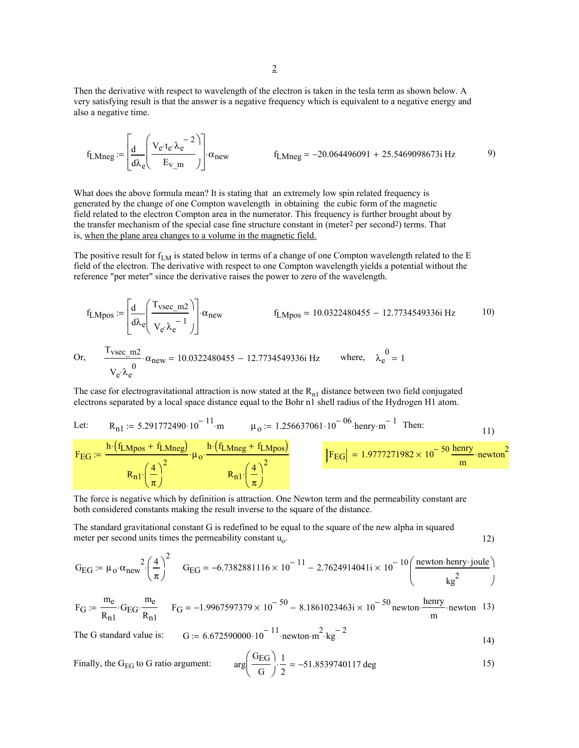Then the derivative with respect to wavelength of the electron is taken in the tesla term as shown below. A very satisfying result is that the answer is a negative frequency which is equivalent to a negative energy and also a negative time.

$$
f_{LMneg} := \left[ \frac{d}{d\lambda_e} \left( \frac{V_e \cdot t_e \cdot \lambda_e^{-2}}{E_{V_m}} \right) \right] \cdot \alpha_{new} \qquad f_{LMneg} = -20.064496091 + 25.5469098673i Hz \qquad (9)
$$

What does the above formula mean? It is stating that an extremely low spin related frequency is generated by the change of one Compton wavelength in obtaining the cubic form of the magnetic field related to the electron Compton area in the numerator. This frequency is further brought about by the transfer mechanism of the special case fine structure constant in (meter<sup>2</sup> per second<sup>2</sup>) terms. That is, when the plane area changes to a volume in the magnetic field.

The positive result for  $f_{LM}$  is stated below in terms of a change of one Compton wavelength related to the E field of the electron. The derivative with respect to one Compton wavelength yields a potential without the reference "per meter" since the derivative raises the power to zero of the wavelength.

$$
f_{LMpos} := \left[\frac{d}{d\lambda_e} \left(\frac{T_{vsec\_m2}}{V_e \lambda_e^{-1}}\right)\right] \alpha_{new}
$$
\n
$$
f_{LMpos} = 10.0322480455 - 12.7734549336i Hz
$$
\n
$$
f_{LMpos} = 10.0322480455 - 12.7734549336i Hz
$$
\n
$$
V_e \lambda_e^0 = 1
$$
\n
$$
V_e \lambda_e^0
$$
\nwhere,  $\lambda_e^0 = 1$ 

The case for electrogravitational attraction is now stated at the  $R_{n1}$  distance between two field conjugated electrons separated by a local space distance equal to the Bohr n1 shell radius of the Hydrogen H1 atom.

Let: 
$$
R_{n1} := 5.291772490 \cdot 10^{-11} \cdot m
$$
  $\mu_0 := 1.256637061 \cdot 10^{-06} \cdot \text{henry} \cdot m^{-1}$  Then:  
\n
$$
F_{EG} := \frac{h \cdot (f_{LMpos} + f_{LMneg})}{\mu_0! \cdot \frac{h \cdot (f_{LMneg} + f_{LMpos})}{\mu_0! \cdot \frac{h \cdot (f_{LMneg} + f_{LMpos})}{\pi}} \cdot \frac{F_{EG}}{F_{EG}} = 1.9777271982 \times 10^{-50} \frac{\text{henry}}{m} \cdot \text{newton}^2
$$

The force is negative which by definition is attraction. One Newton term and the permeability constant are both considered constants making the result inverse to the square of the distance.

The standard gravitational constant G is redefined to be equal to the square of the new alpha in squared meter per second units times the permeability constant  $u_0$ . 12)

$$
G_{EG} := \mu_0 \cdot \alpha_{new}^2 \cdot \left(\frac{4}{\pi}\right)^2 \quad G_{EG} = -6.7382881116 \times 10^{-11} - 2.7624914041i \times 10^{-10} \left(\frac{\text{newton henry-joule}}{\text{kg}^2}\right)
$$

$$
F_G := \frac{m_e}{R_{n1}} \cdot G_{EG} \cdot \frac{m_e}{R_{n1}} \qquad F_G = -1.9967597379 \times 10^{-50} - 8.1861023463i \times 10^{-50} \text{ newton} \cdot \frac{\text{henry}}{\text{m}} \cdot \text{newton} \quad 13)
$$

The G standard value is: 
$$
G := 6.672590000 \cdot 10^{-11} \cdot \text{newton} \cdot \text{m}^2 \cdot \text{kg}^{-2}
$$
 14)

Finally, the G<sub>EG</sub> to G ratio argument: 
$$
arg\left(\frac{G_{EG}}{G}\right) \cdot \frac{1}{2} = -51.8539740117 \text{ deg}
$$
 15)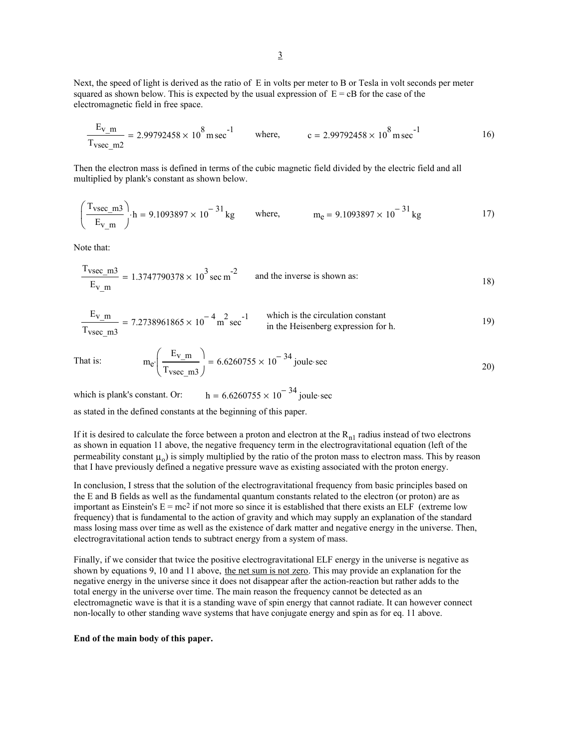Next, the speed of light is derived as the ratio of E in volts per meter to B or Tesla in volt seconds per meter squared as shown below. This is expected by the usual expression of  $E = cB$  for the case of the electromagnetic field in free space.

$$
\frac{E_{v\_m}}{T_{vsec m2}} = 2.99792458 \times 10^8 \text{ m sec}^{-1}
$$
 where,  $c = 2.99792458 \times 10^8 \text{ m sec}^{-1}$  16)

Then the electron mass is defined in terms of the cubic magnetic field divided by the electric field and all multiplied by plank's constant as shown below.

$$
\left(\frac{T_{\text{vsec\_m3}}}{E_{\text{v\_m}}}\right) \cdot h = 9.1093897 \times 10^{-31} \text{ kg} \qquad \text{where,} \qquad m_e = 9.1093897 \times 10^{-31} \text{ kg} \tag{17}
$$

Note that:

$$
\frac{T_{\text{vsec\_m3}}}{E_{\text{v\_m}}} = 1.3747790378 \times 10^3 \text{ sec m}^{-2}
$$
 and the inverse is shown as:

$$
\frac{E_{v\_m}}{T_{\text{vsec } m3}} = 7.2738961865 \times 10^{-4} \text{ m}^2 \text{ sec}^{-1}
$$
 which is the circulation constant  
in the Heisenberg expression for h.

That is: 
$$
m_e \left( \frac{E_{v\_m}}{T_{\text{vsec\_m3}}} \right) = 6.6260755 \times 10^{-34} \text{ joule-sec}
$$
 (20)

which is plank's constant. Or:  $h = 6.6260755 \times 10^{-34}$  joule sec

as stated in the defined constants at the beginning of this paper.

If it is desired to calculate the force between a proton and electron at the  $R_{n1}$  radius instead of two electrons as shown in equation 11 above, the negative frequency term in the electrogravitational equation (left of the permeability constant  $\mu_0$ ) is simply multiplied by the ratio of the proton mass to electron mass. This by reason that I have previously defined a negative pressure wave as existing associated with the proton energy.

In conclusion, I stress that the solution of the electrogravitational frequency from basic principles based on the E and B fields as well as the fundamental quantum constants related to the electron (or proton) are as important as Einstein's  $E = mc^2$  if not more so since it is established that there exists an ELF (extreme low frequency) that is fundamental to the action of gravity and which may supply an explanation of the standard mass losing mass over time as well as the existence of dark matter and negative energy in the universe. Then, electrogravitational action tends to subtract energy from a system of mass.

Finally, if we consider that twice the positive electrogravitational ELF energy in the universe is negative as shown by equations 9, 10 and 11 above, the net sum is not zero. This may provide an explanation for the negative energy in the universe since it does not disappear after the action-reaction but rather adds to the total energy in the universe over time. The main reason the frequency cannot be detected as an electromagnetic wave is that it is a standing wave of spin energy that cannot radiate. It can however connect non-locally to other standing wave systems that have conjugate energy and spin as for eq. 11 above.

## **End of the main body of this paper.**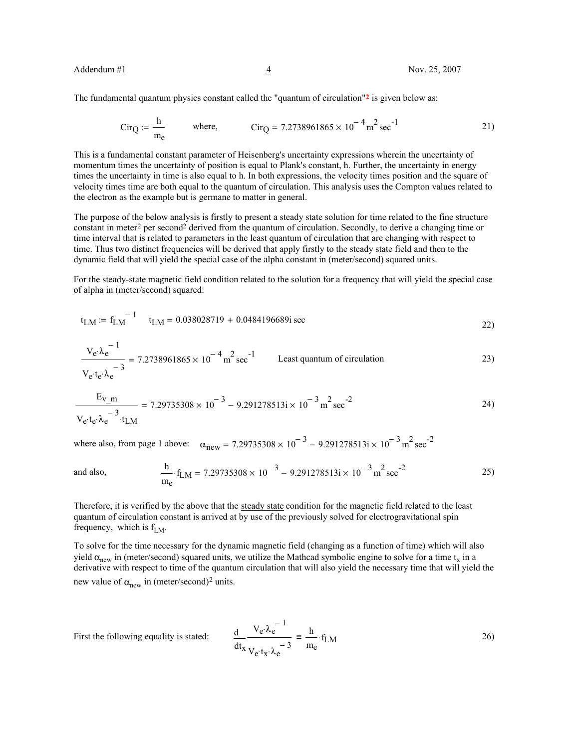The fundamental quantum physics constant called the "quantum of circulation"**2** is given below as:

$$
Cir_Q := \frac{h}{m_e}
$$
 where,  $Cir_Q = 7.2738961865 \times 10^{-4} \text{ m}^2 \text{ sec}^{-1}$  21)

This is a fundamental constant parameter of Heisenberg's uncertainty expressions wherein the uncertainty of momentum times the uncertainty of position is equal to Plank's constant, h. Further, the uncertainty in energy times the uncertainty in time is also equal to h. In both expressions, the velocity times position and the square of velocity times time are both equal to the quantum of circulation. This analysis uses the Compton values related to the electron as the example but is germane to matter in general.

The purpose of the below analysis is firstly to present a steady state solution for time related to the fine structure constant in meter2 per second2 derived from the quantum of circulation. Secondly, to derive a changing time or time interval that is related to parameters in the least quantum of circulation that are changing with respect to time. Thus two distinct frequencies will be derived that apply firstly to the steady state field and then to the dynamic field that will yield the special case of the alpha constant in (meter/second) squared units.

For the steady-state magnetic field condition related to the solution for a frequency that will yield the special case of alpha in (meter/second) squared:

$$
t_{LM} := f_{LM}^{-1} \t t_{LM} = 0.038028719 + 0.0484196689i \sec
$$
 (22)

$$
\frac{V_e \lambda_e^{-1}}{V_e t_e \lambda_e^{-3}} = 7.2738961865 \times 10^{-4} \text{ m}^2 \text{ sec}^{-1}
$$
 Least quantum of circulation  
23)

$$
\frac{E_{V_m}}{V_e \cdot t_e \cdot \lambda_e^{-3} \cdot t_{LM}} = 7.29735308 \times 10^{-3} - 9.291278513i \times 10^{-3} \, \text{m}^2 \, \text{sec}^{-2}
$$

where also, from page 1 above:  $\alpha_{\text{new}} = 7.29735308 \times 10^{-3} - 9.291278513i \times 10^{-3} \text{ m}^2 \text{ sec}^{-2}$ 

and also, 
$$
\frac{h}{m_e} \cdot f_{LM} = 7.29735308 \times 10^{-3} - 9.291278513i \times 10^{-3} m^2 sec^{-2}
$$
 25)

Therefore, it is verified by the above that the steady state condition for the magnetic field related to the least quantum of circulation constant is arrived at by use of the previously solved for electrogravitational spin frequency, which is  $f_{LM}$ .

To solve for the time necessary for the dynamic magnetic field (changing as a function of time) which will also yield  $\alpha_{\text{new}}$  in (meter/second) squared units, we utilize the Mathcad symbolic engine to solve for a time t<sub>x</sub> in a derivative with respect to time of the quantum circulation that will also yield the necessary time that will yield the new value of  $\alpha_{\text{new}}$  in (meter/second)<sup>2</sup> units.

First the following equality is stated:

$$
\frac{d}{dt_x} \frac{V_e \lambda_e^{-1}}{V_e \cdot t_x \cdot \lambda_e^{-3}} = \frac{h}{m_e} \cdot f_{LM}
$$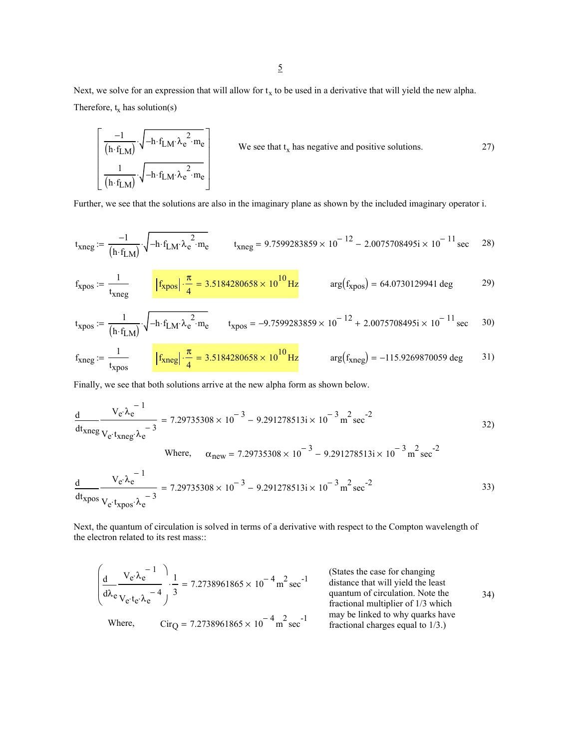Next, we solve for an expression that will allow for  $t_x$  to be used in a derivative that will yield the new alpha. Therefore,  $t_x$  has solution(s)

$$
\left[\n\begin{array}{c}\n-1 \\
\hline\n(h \cdot f_{LM})\n\end{array}\n\right]\n\cdot\n\sqrt{-h \cdot f_{LM} \cdot \lambda_e^2 \cdot m_e}\n\right]
$$
\nWe see that t<sub>x</sub> has negative and positive solutions.

\n(1 - t<sub>LM</sub>)

\n
$$
\cdot\n\sqrt{-h \cdot f_{LM} \cdot \lambda_e^2 \cdot m_e}
$$
\n(27)

Further, we see that the solutions are also in the imaginary plane as shown by the included imaginary operator i.

$$
t_{\text{Xneg}} := \frac{-1}{(h \cdot f_{LM})} \cdot \sqrt{-h \cdot f_{LM} \cdot \lambda_e^2 \cdot m_e}
$$
\n
$$
t_{\text{Xneg}} = 9.7599283859 \times 10^{-12} - 2.0075708495i \times 10^{-11} \text{ sec}
$$
\n
$$
28)
$$

$$
f_{\text{xpos}} := \frac{1}{t_{\text{xneg}}} \qquad \left| f_{\text{xpos}} \right| \cdot \frac{\pi}{4} = 3.5184280658 \times 10^{10} \,\text{Hz} \qquad \text{arg}(f_{\text{xpos}}) = 64.0730129941 \,\text{deg} \qquad (29)
$$

$$
t_{\text{xpos}} := \frac{1}{(h \cdot f_{\text{LM}})} \cdot \sqrt{-h \cdot f_{\text{LM}} \cdot \lambda_e^2 \cdot m_e}
$$
 
$$
t_{\text{xpos}} = -9.7599283859 \times 10^{-12} + 2.0075708495i \times 10^{-11} \text{ sec}
$$
 30)

$$
f_{\text{xneg}} := \frac{1}{t_{\text{xpos}}} \qquad \boxed{f_{\text{xneg}} \cdot \frac{\pi}{4} = 3.5184280658 \times 10^{10} \,\text{Hz}} \qquad \text{arg}(f_{\text{xneg}}) = -115.9269870059 \,\text{deg} \qquad 31}
$$

Finally, we see that both solutions arrive at the new alpha form as shown below.

$$
\frac{d}{dt_{\text{xneg}}} \frac{V_e \lambda_e^{-1}}{V_e \cdot t_{\text{xneg}} \lambda_e^{-3}} = 7.29735308 \times 10^{-3} - 9.291278513i \times 10^{-3} \text{ m}^2 \text{ sec}^{-2}
$$
 32)

Where, 
$$
\alpha_{\text{new}} = 7.29735308 \times 10^{-3} - 9.291278513i \times 10^{-3} \text{ m}^2 \text{ sec}^{-2}
$$

$$
\frac{d}{dt_{\text{xpos}}}\frac{V_e \lambda_e^{-1}}{V_e \cdot t_{\text{xpos}} \cdot \lambda_e^{-3}} = 7.29735308 \times 10^{-3} - 9.291278513i \times 10^{-3} \text{ m}^2 \text{ sec}^{-2}
$$
 33)

Next, the quantum of circulation is solved in terms of a derivative with respect to the Compton wavelength of the electron related to its rest mass::

$$
\left(\frac{d}{d\lambda_e} \frac{V_e \cdot \lambda_e^{-1}}{V_e \cdot t_e \cdot \lambda_e^{-4}}\right) \cdot \frac{1}{3} = 7.2738961865 \times 10^{-4} \text{ m}^2 \text{ sec}^{-1}
$$
\n(States the case for changing distance that will yield the least quantum of circulation. Note the fractional multiplier of 1/3 which fractional multiplier of 1/3 which may be linked to why quarks have fractional charges equal to 1/3.)\n\nS4\n54\n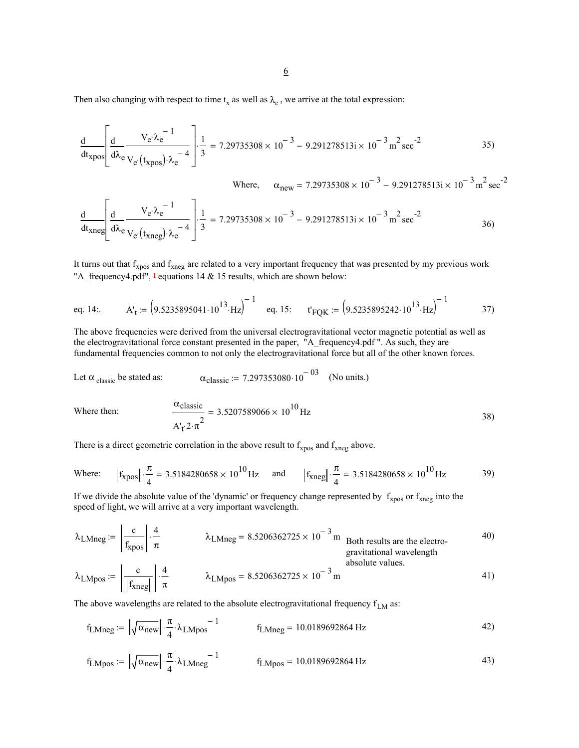Then also changing with respect to time  $t_x$  as well as  $\lambda_e$ , we arrive at the total expression:

$$
\frac{d}{dt_{\text{xpos}}} \left[ \frac{d}{d\lambda_e} \frac{V_e \lambda_e^{-1}}{V_e (t_{\text{xpos}}) \lambda_e^{-4}} \right] \cdot \frac{1}{3} = 7.29735308 \times 10^{-3} - 9.291278513i \times 10^{-3} \text{ m}^2 \text{ sec}^{-2}
$$
 35)

Where, 
$$
\alpha_{new} = 7.29735308 \times 10^{-3} - 9.291278513i \times 10^{-3} \text{ m}^2 \text{ sec}^{-2}
$$
  
\n
$$
\frac{d}{dt_{xneg}} \left[ \frac{d}{d\lambda_e} \frac{V_e \lambda_e^{-1}}{V_e(t_{xneg}) \lambda_e^{-4}} \right] \cdot \frac{1}{3} = 7.29735308 \times 10^{-3} - 9.291278513i \times 10^{-3} \text{ m}^2 \text{ sec}^{-2}
$$
\n36)

It turns out that  $f_{xpos}$  and  $f_{xneg}$  are related to a very important frequency that was presented by my previous work "A\_frequency4.pdf", **1** equations 14 & 15 results, which are shown below:

eq. 14:. 
$$
A'_t := (9.5235895041 \cdot 10^{13} \cdot Hz)^{-1}
$$
 eq. 15:  $t'_{\text{FQK}} := (9.5235895242 \cdot 10^{13} \cdot Hz)^{-1}$  37)

The above frequencies were derived from the universal electrogravitational vector magnetic potential as well as the electrogravitational force constant presented in the paper, "A\_frequency4.pdf ". As such, they are fundamental frequencies common to not only the electrogravitational force but all of the other known forces.

Let 
$$
\alpha_{\text{ classic}}
$$
 be stated as:  $\alpha_{\text{classic}} := 7.297353080 \cdot 10^{-03}$  (No units.)

Where then:

$$
\frac{\alpha_{\text{classic}}}{A'_{\text{t}} 2 \cdot \pi^2} = 3.5207589066 \times 10^{10} \,\text{Hz}
$$

There is a direct geometric correlation in the above result to  $f_{xpos}$  and  $f_{xneg}$  above.

Where: 
$$
|f_{xpos}| \cdot \frac{\pi}{4} = 3.5184280658 \times 10^{10} \text{ Hz}
$$
 and  $|f_{xneg}| \cdot \frac{\pi}{4} = 3.5184280658 \times 10^{10} \text{ Hz}$  39)

If we divide the absolute value of the 'dynamic' or frequency change represented by  $f_{xpos}$  or  $f_{xneg}$  into the speed of light, we will arrive at a very important wavelength.

$$
\lambda_{LMneg} := \left| \frac{c}{f_{xpos}} \right| \cdot \frac{4}{\pi}
$$
\n
$$
\lambda_{LMneg} = 8.5206362725 \times 10^{-3} \text{ m}
$$
\nBoth results are the electrogravitational wavelength  
\nabsolute values.  
\n
$$
\lambda_{LMpos} := \left| \frac{c}{|f_{xneg}|} \right| \cdot \frac{4}{\pi}
$$
\n
$$
\lambda_{LMpos} = 8.5206362725 \times 10^{-3} \text{ m}
$$
\n
$$
\lambda_{LMpos} = 8.5206362725 \times 10^{-3} \text{ m}
$$
\n
$$
\lambda_{LMpos} = 8.5206362725 \times 10^{-3} \text{ m}
$$
\n
$$
\lambda_{LMpos} = 8.5206362725 \times 10^{-3} \text{ m}
$$
\n
$$
\lambda_{LMpos} = 8.5206362725 \times 10^{-3} \text{ m}
$$
\n
$$
\lambda_{LMpos} = 8.5206362725 \times 10^{-3} \text{ m}
$$
\n
$$
\lambda_{LMpos} = 8.5206362725 \times 10^{-3} \text{ m}
$$
\n
$$
\lambda_{LMpos} = 8.5206362725 \times 10^{-3} \text{ m}
$$

The above wavelengths are related to the absolute electrogravitational frequency  $f_{LM}$  as:

$$
f_{LMneg} := \left| \sqrt{\alpha_{new}} \right| \cdot \frac{\pi}{4} \cdot \lambda_{LMpos}^{-1}
$$
  $f_{LMneg} = 10.0189692864 Hz$  42)

$$
f_{LMpos} := \left| \sqrt{\alpha_{new}} \right| \cdot \frac{\pi}{4} \cdot \lambda_{LMneg}^{-1}
$$
 
$$
f_{LMpos} = 10.0189692864 \text{ Hz}
$$
 (43)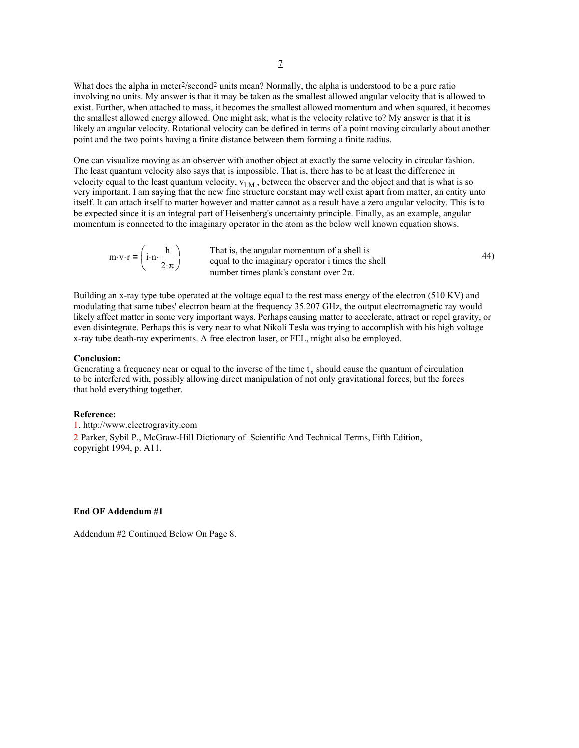What does the alpha in meter2/second2 units mean? Normally, the alpha is understood to be a pure ratio involving no units. My answer is that it may be taken as the smallest allowed angular velocity that is allowed to exist. Further, when attached to mass, it becomes the smallest allowed momentum and when squared, it becomes the smallest allowed energy allowed. One might ask, what is the velocity relative to? My answer is that it is likely an angular velocity. Rotational velocity can be defined in terms of a point moving circularly about another point and the two points having a finite distance between them forming a finite radius.

One can visualize moving as an observer with another object at exactly the same velocity in circular fashion. The least quantum velocity also says that is impossible. That is, there has to be at least the difference in velocity equal to the least quantum velocity,  $v_{LM}$ , between the observer and the object and that is what is so very important. I am saying that the new fine structure constant may well exist apart from matter, an entity unto itself. It can attach itself to matter however and matter cannot as a result have a zero angular velocity. This is to be expected since it is an integral part of Heisenberg's uncertainty principle. Finally, as an example, angular momentum is connected to the imaginary operator in the atom as the below well known equation shows.

$$
m \cdot v \cdot r = \begin{pmatrix} i \cdot n \cdot \frac{h}{2 \cdot \pi} \end{pmatrix}
$$
 That is, the angular momentum of a shell is  
equal to the imaginary operator i times the shell  
number times plank's constant over  $2\pi$ .

Building an x-ray type tube operated at the voltage equal to the rest mass energy of the electron (510 KV) and modulating that same tubes' electron beam at the frequency 35.207 GHz, the output electromagnetic ray would likely affect matter in some very important ways. Perhaps causing matter to accelerate, attract or repel gravity, or even disintegrate. Perhaps this is very near to what Nikoli Tesla was trying to accomplish with his high voltage x-ray tube death-ray experiments. A free electron laser, or FEL, might also be employed.

#### **Conclusion:**

Generating a frequency near or equal to the inverse of the time  $t_x$  should cause the quantum of circulation to be interfered with, possibly allowing direct manipulation of not only gravitational forces, but the forces that hold everything together.

#### **Reference:**

1. http://www.electrogravity.com 2 Parker, Sybil P., McGraw-Hill Dictionary of Scientific And Technical Terms, Fifth Edition, copyright 1994, p. A11.

#### **End OF Addendum #1**

Addendum #2 Continued Below On Page 8.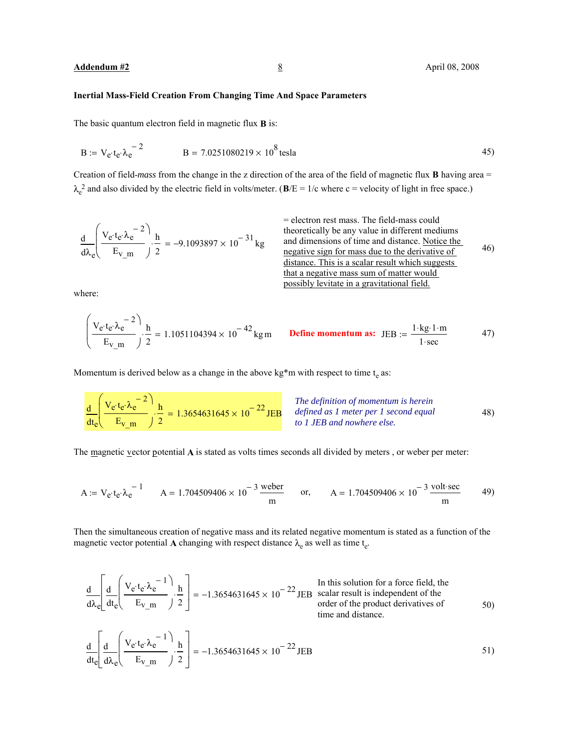# **Inertial Mass-Field Creation From Changing Time And Space Parameters**

The basic quantum electron field in magnetic flux **B** is:

$$
B := V_e \tcdot t_e \tcdot \lambda_e^{-2}
$$
  $B = 7.0251080219 \times 10^8$  tesla (45)

Creation of field-*mass* from the change in the z direction of the area of the field of magnetic flux **B** having area =  $\lambda_e^2$  and also divided by the electric field in volts/meter. ( $\bf{B}/E = 1/c$  where c = velocity of light in free space.)

$$
\frac{d}{d\lambda_e} \left( \frac{V_e \cdot t_e \cdot \lambda_e^{-2}}{E_{V\_m}} \right) \cdot \frac{h}{2} = -9.1093897 \times 10^{-31} \, \text{kg}
$$

= electron rest mass. The field-mass could theoretically be any value in different mediums  $= -9.1093897 \times 10^{-31}$  kg and dimensions of time and distance. <u>Notice the</u> 46) negative sign for mass due to the derivative of distance. This is a scalar result which suggests that a negative mass sum of matter would possibly levitate in a gravitational field.

where:

$$
\left(\frac{V_e \cdot t_e \cdot \lambda_e^{-2}}{E_{V_m}}\right) \cdot \frac{h}{2} = 1.1051104394 \times 10^{-42} \text{ kg m}
$$
 Define momentum as: JEB :=  $\frac{1 \cdot \text{kg} \cdot 1 \cdot m}{1 \cdot \text{sec}}$  47)

Momentum is derived below as a change in the above  $kg*$ m with respect to time  $t_e$  as:

$$
\frac{d}{dt_e} \left( \frac{V_e \cdot t_e \cdot \lambda_e^{-2}}{E_{V_m}} \right) \cdot \frac{h}{2} = 1.3654631645 \times 10^{-22} \text{JEB}
$$
\n
$$
The definition of momentum is herein\ndefined as 1 meter per 1 second equal\nto 1 JEB and nowhere else.
$$
\n
$$
1 \cdot \text{JEB} and nowhere else.
$$

The magnetic vector potential **A** is stated as volts times seconds all divided by meters , or weber per meter:

$$
A := V_e \cdot t_e \cdot \lambda_e^{-1}
$$
 
$$
A = 1.704509406 \times 10^{-3} \frac{\text{weber}}{\text{m}}
$$
 or, 
$$
A = 1.704509406 \times 10^{-3} \frac{\text{volt} \cdot \text{sec}}{\text{m}}
$$

Then the simultaneous creation of negative mass and its related negative momentum is stated as a function of the magnetic vector potential **A** changing with respect distance  $\lambda_e$  as well as time  $t_e$ .

$$
\frac{d}{d\lambda_e} \left[ \frac{d}{dt_e} \left( \frac{V_e \cdot t_e \cdot \lambda_e^{-1}}{E_{V_m}} \right) \cdot \frac{h}{2} \right] = -1.3654631645 \times 10^{-22} \text{ JEB} \quad \text{scalar result is independent of the order of the product derivatives of time and distance.}
$$
\n50)

$$
\frac{d}{dt_c} \left[ \frac{d}{d\lambda_c} \left( \frac{V_e \cdot t_e \cdot \lambda_e^{-1}}{E_{V_m}} \right) \cdot \frac{h}{2} \right] = -1.3654631645 \times 10^{-22} \text{ JEB}
$$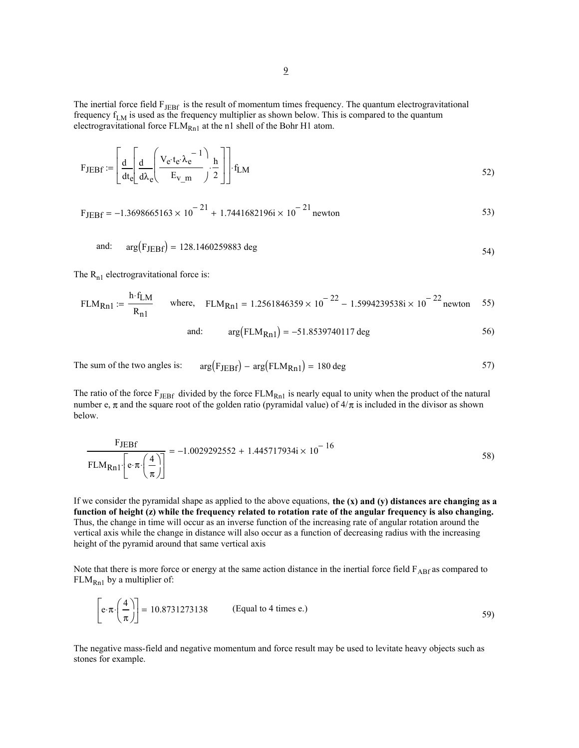The inertial force field  $F_{JEBf}$  is the result of momentum times frequency. The quantum electrogravitational frequency  $f_{LM}$  is used as the frequency multiplier as shown below. This is compared to the quantum electrogravitational force  $FLM_{Rn1}$  at the n1 shell of the Bohr H1 atom.

$$
F_{JEBf} := \left[ \frac{d}{dt_e} \left( \frac{V_e \cdot t_e \cdot \lambda_e^{-1}}{E_{V\_m}} \right) \cdot \frac{h}{2} \right] \cdot f_{LM}
$$

$$
F_{\text{JEBf}} = -1.3698665163 \times 10^{-21} + 1.7441682196i \times 10^{-21} \text{ newton}
$$

and: 
$$
arg(F_{JEBf}) = 128.1460259883 \text{ deg}
$$
 54)

The  $R_{n1}$  electrogravitational force is:

$$
FLM_{Rn1} := \frac{h \cdot f_{LM}}{R_{n1}}
$$
 where,  $FLM_{Rn1} = 1.2561846359 \times 10^{-22} - 1.5994239538i \times 10^{-22}$  newton 55)

and: 
$$
arg(FLM_{Rn1}) = -51.8539740117 \text{ deg}
$$
 56)

The sum of the two angles is:  $arg(F_{JEBf}) - arg(FLM_{Rn1}) = 180 \text{ deg}$  57)

The ratio of the force  $F_{JEBf}$  divided by the force  $FLM_{Rn1}$  is nearly equal to unity when the product of the natural number e,  $\pi$  and the square root of the golden ratio (pyramidal value) of  $4/\pi$  is included in the divisor as shown below.

$$
\frac{\text{FJEBf}}{\text{FLM}_{\text{Rn1}} \cdot \left[ e \cdot \pi \cdot \left( \frac{4}{\pi} \right) \right]} = -1.0029292552 + 1.445717934 \text{ i} \times 10^{-16} \tag{58}
$$

If we consider the pyramidal shape as applied to the above equations, **the (x) and (y) distances are changing as a function of height (z) while the frequency related to rotation rate of the angular frequency is also changing.** Thus, the change in time will occur as an inverse function of the increasing rate of angular rotation around the vertical axis while the change in distance will also occur as a function of decreasing radius with the increasing height of the pyramid around that same vertical axis

Note that there is more force or energy at the same action distance in the inertial force field  $F_{ABf}$  as compared to  $FLM<sub>Rn1</sub>$  by a multiplier of:

$$
\left[e \cdot \pi \cdot \left(\frac{4}{\pi}\right)\right] = 10.8731273138 \qquad \text{(Equal to 4 times e.)} \tag{59}
$$

The negative mass-field and negative momentum and force result may be used to levitate heavy objects such as stones for example.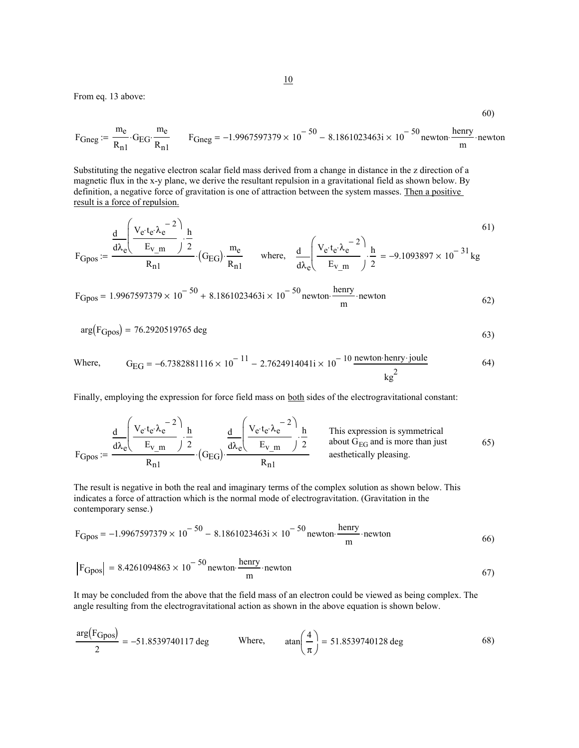From eq. 13 above:

$$
F_{\text{Gneg}} := \frac{m_e}{R_{n1}} \cdot G_{\text{EG}} \cdot \frac{m_e}{R_{n1}} \qquad F_{\text{Gneg}} = -1.9967597379 \times 10^{-50} - 8.1861023463 \text{ i} \times 10^{-50} \text{ newton} \cdot \frac{\text{henry}}{\text{m}} \cdot \text{newton}
$$

60)

Substituting the negative electron scalar field mass derived from a change in distance in the z direction of a magnetic flux in the x-y plane, we derive the resultant repulsion in a gravitational field as shown below. By definition, a negative force of gravitation is one of attraction between the system masses. Then a positive result is a force of repulsion.

$$
F_{Gpos} := \frac{d}{d\lambda_e} \left( \frac{V_e \cdot t_e \cdot \lambda_e^{-2}}{E_{v\_m}} \right) \cdot \frac{h}{2} \cdot (G_{EG}) \cdot \frac{m_e}{R_{n1}} \quad \text{where,} \quad \frac{d}{d\lambda_e} \left( \frac{V_e \cdot t_e \cdot \lambda_e^{-2}}{E_{v\_m}} \right) \cdot \frac{h}{2} = -9.1093897 \times 10^{-31} \text{ kg}
$$

$$
F_{\text{Gpos}} = 1.9967597379 \times 10^{-50} + 8.1861023463 \text{ i} \times 10^{-50} \text{ newton} \cdot \frac{\text{henry}}{\text{m}} \cdot \text{newton} \tag{62}
$$

$$
\arg(F_{\text{Gpos}}) = 76.2920519765 \text{ deg}
$$
 (53)

Where, 
$$
G_{EG} = -6.7382881116 \times 10^{-11} - 2.7624914041i \times 10^{-10}
$$
 newton henry-joule  $kg^2$  (64)

Finally, employing the expression for force field mass on **both** sides of the electrogravitational constant:

$$
F_{Gpos} := \frac{d}{d\lambda_e} \left( \frac{V_e \cdot t_e \cdot \lambda_e^{-2}}{E_{v\_m}} \right) \cdot \frac{h}{2} \underbrace{d}_{(G_{EG})} \cdot \frac{d}{d\lambda_e} \left( \frac{V_e \cdot t_e \cdot \lambda_e^{-2}}{E_{v\_m}} \right) \cdot \frac{h}{2}
$$
 This expression is symmetrical  
about G<sub>EG</sub> and is more than just  
aesthetically pleasing.  
(65)

The result is negative in both the real and imaginary terms of the complex solution as shown below. This indicates a force of attraction which is the normal mode of electrogravitation. (Gravitation in the contemporary sense.)

$$
F_{\text{Gpos}} = -1.9967597379 \times 10^{-50} - 8.1861023463 \text{ i} \times 10^{-50} \text{ newton} \cdot \frac{\text{henry}}{\text{m}} \cdot \text{newton} \tag{66}
$$

$$
\left| \mathrm{FGpos} \right| = 8.4261094863 \times 10^{-50} \text{newton} \cdot \frac{\text{henry}}{\text{m}} \cdot \text{newton}
$$
 (67)

It may be concluded from the above that the field mass of an electron could be viewed as being complex. The angle resulting from the electrogravitational action as shown in the above equation is shown below.

$$
\frac{\arg(\text{FGpos})}{2} = -51.8539740117 \text{ deg}
$$
 Where,  $\tan\left(\frac{4}{\pi}\right) = 51.8539740128 \text{ deg}$  (68)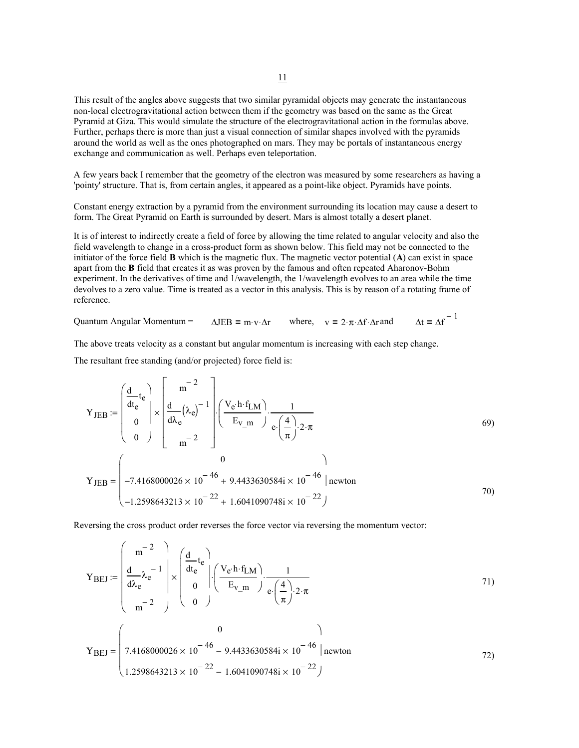This result of the angles above suggests that two similar pyramidal objects may generate the instantaneous non-local electrogravitational action between them if the geometry was based on the same as the Great Pyramid at Giza. This would simulate the structure of the electrogravitational action in the formulas above. Further, perhaps there is more than just a visual connection of similar shapes involved with the pyramids around the world as well as the ones photographed on mars. They may be portals of instantaneous energy exchange and communication as well. Perhaps even teleportation.

A few years back I remember that the geometry of the electron was measured by some researchers as having a 'pointy' structure. That is, from certain angles, it appeared as a point-like object. Pyramids have points.

Constant energy extraction by a pyramid from the environment surrounding its location may cause a desert to form. The Great Pyramid on Earth is surrounded by desert. Mars is almost totally a desert planet.

It is of interest to indirectly create a field of force by allowing the time related to angular velocity and also the field wavelength to change in a cross-product form as shown below. This field may not be connected to the initiator of the force field **B** which is the magnetic flux. The magnetic vector potential (**A**) can exist in space apart from the **B** field that creates it as was proven by the famous and often repeated Aharonov-Bohm experiment. In the derivatives of time and 1/wavelength, the 1/wavelength evolves to an area while the time devolves to a zero value. Time is treated as a vector in this analysis. This is by reason of a rotating frame of reference.

 $\Delta t = \Delta f^{-1}$ Quantum Angular Momentum =  $\Delta JEB = m \cdot v \cdot \Delta r$  where,  $v = 2 \cdot \pi \cdot \Delta f \cdot \Delta r$  and

The above treats velocity as a constant but angular momentum is increasing with each step change.

The resultant free standing (and/or projected) force field is:

$$
Y_{JEB} := \begin{pmatrix} \frac{d}{dt_e} t_e \\ 0 \\ 0 \end{pmatrix} \times \begin{bmatrix} m^{-2} \\ \frac{d}{d\lambda_e} (\lambda_e)^{-1} \\ m^{-2} \end{bmatrix} \cdot \begin{pmatrix} V_e \cdot h \cdot f_{LM} \\ E_{V_m} \end{pmatrix} \cdot \frac{1}{e \cdot (\frac{4}{\pi}) \cdot 2 \cdot \pi}
$$
  
\n
$$
Y_{JEB} = \begin{pmatrix} 0 \\ -7.4168000026 \times 10^{-46} + 9.4433630584i \times 10^{-46} | \text{newton} \\ -1.2598643213 \times 10^{-22} + 1.6041090748i \times 10^{-22} \end{pmatrix}
$$
 (9)

Reversing the cross product order reverses the force vector via reversing the momentum vector:

$$
\mathbf{Y}_{BEJ} := \begin{pmatrix} m^{-2} \\ \frac{d}{d\lambda_e} \lambda_e^{-1} \\ m^{-2} \end{pmatrix} \times \begin{pmatrix} \frac{d}{dt_e} t_e \\ 0 \\ 0 \end{pmatrix} \cdot \begin{pmatrix} \mathbf{V}_e \cdot \mathbf{h} \cdot \mathbf{f}_{LM} \\ \mathbf{E}_{\mathbf{V}_m} \\ 0 \end{pmatrix} \cdot \frac{1}{e \cdot \left(\frac{4}{\pi}\right) \cdot 2 \cdot \pi}
$$
 (1)  
(0)

$$
Y_{BEJ} = \begin{cases} 7.4168000026 \times 10^{-46} - 9.4433630584i \times 10^{-46} \mid \text{newton} \\ 1.2598643213 \times 10^{-22} - 1.6041090748i \times 10^{-22} \end{cases}
$$
 (72)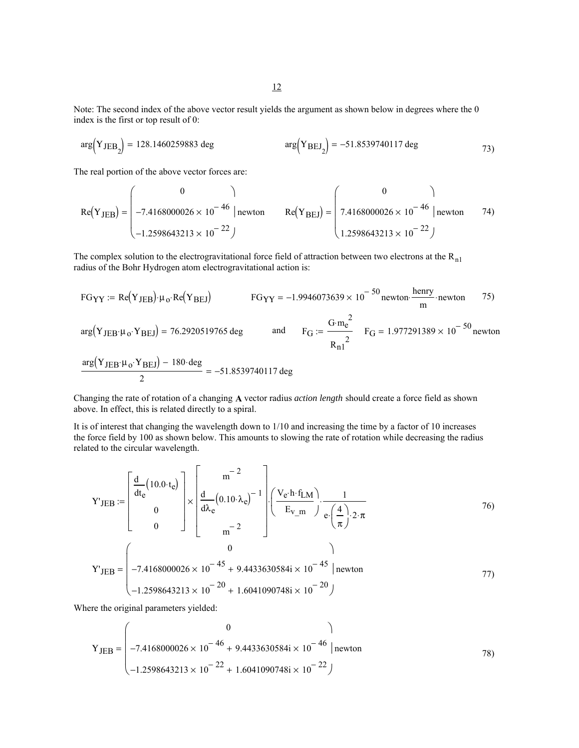Note: The second index of the above vector result yields the argument as shown below in degrees where the 0 index is the first or top result of 0:

$$
\arg(Y_{\text{JEB}_2}) = 128.1460259883 \text{ deg} \qquad \arg(Y_{\text{BEJ}_2}) = -51.8539740117 \text{ deg} \qquad (73)
$$

The real portion of the above vector forces are:

$$
Re(Y_{JEB}) = \begin{pmatrix} 0 & 1 \\ -7.4168000026 \times 10^{-46} & | \text{newton} \\ -1.2598643213 \times 10^{-22} \end{pmatrix}
$$
 
$$
Re(Y_{BEJ}) = \begin{pmatrix} 0 & 1 \\ 7.4168000026 \times 10^{-46} & | \text{newton} \\ 1.2598643213 \times 10^{-22} \end{pmatrix}
$$

The complex solution to the electrogravitational force field of attraction between two electrons at the  $R_{n1}$ radius of the Bohr Hydrogen atom electrogravitational action is:

FG<sub>YY</sub> := Re(Y<sub>JEB</sub>)·
$$
\mu_o
$$
·Re(Y<sub>BEJ</sub>)  
\n
$$
FG_{YY} = -1.9946073639 \times 10^{-50}
$$
newton· $\frac{\text{henry}}{\text{m}}$ ·newton 75)  
\n
$$
\arg(Y_{JEB} \cdot \mu_o \cdot Y_{BEJ}) = 76.2920519765 \text{ deg}
$$
 and  $F_G := \frac{G \cdot m_e^2}{R_{n1}^2}$   $F_G = 1.977291389 \times 10^{-50}$ newton  
\n
$$
\frac{\arg(Y_{JEB} \cdot \mu_o \cdot Y_{BEJ}) - 180 \cdot \text{deg}}{2} = -51.8539740117 \text{ deg}
$$

Changing the rate of rotation of a changing **A** vector radius *action length* should create a force field as shown above. In effect, this is related directly to a spiral.

It is of interest that changing the wavelength down to 1/10 and increasing the time by a factor of 10 increases the force field by 100 as shown below. This amounts to slowing the rate of rotation while decreasing the radius related to the circular wavelength.

$$
Y'_{JEB} := \begin{bmatrix} \frac{d}{dt_e} (10.0 \cdot t_e) \\ 0 \\ 0 \end{bmatrix} \times \begin{bmatrix} m^{-2} \\ \frac{d}{d\lambda_e} (0.10 \cdot \lambda_e)^{-1} \\ m^{-2} \end{bmatrix} \cdot \begin{bmatrix} \frac{V_e \cdot h \cdot f_{LM}}{E_{V\_m}} \cdot \frac{1}{e \cdot (\frac{4}{\pi}) \cdot 2 \cdot \pi} \\ \frac{4}{\pi} \cdot \frac{1}{2 \cdot \pi} \end{bmatrix}
$$
 76)  

$$
Y'_{JEB} = \begin{bmatrix} 0 \\ -7.4168000026 \times 10^{-45} + 9.4433630584i \times 10^{-45} \\ -1.2598643213 \times 10^{-20} + 1.6041090748i \times 10^{-20} \end{bmatrix}
$$
 77)

Where the original parameters yielded:

$$
Y_{JEB} = \begin{pmatrix} 0 & 0 \\ -7.4168000026 \times 10^{-46} + 9.4433630584i \times 10^{-46} \mid newton \\ -1.2598643213 \times 10^{-22} + 1.6041090748i \times 10^{-22} \end{pmatrix}
$$
 (78)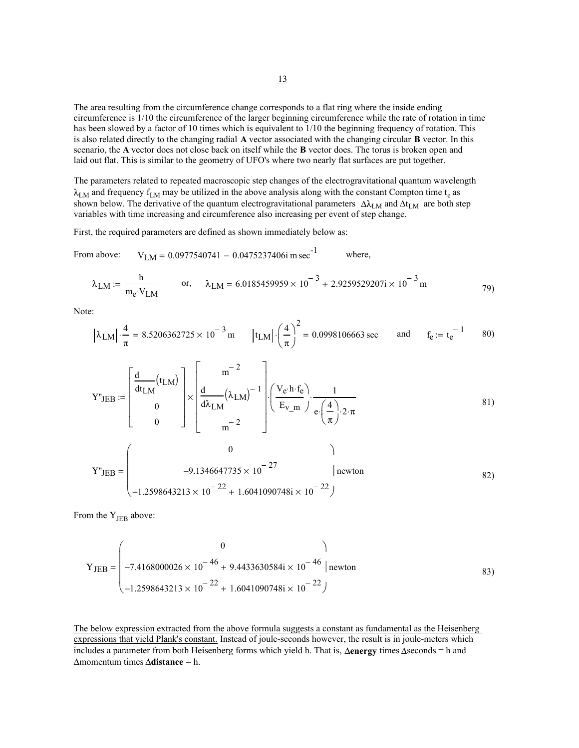The area resulting from the circumference change corresponds to a flat ring where the inside ending circumference is 1/10 the circumference of the larger beginning circumference while the rate of rotation in time has been slowed by a factor of 10 times which is equivalent to 1/10 the beginning frequency of rotation. This is also related directly to the changing radial **A** vector associated with the changing circular **B** vector. In this scenario, the **A** vector does not close back on itself while the **B** vector does. The torus is broken open and laid out flat. This is similar to the geometry of UFO's where two nearly flat surfaces are put together.

The parameters related to repeated macroscopic step changes of the electrogravitational quantum wavelength  $\lambda_{LM}$  and frequency  $f_{LM}$  may be utilized in the above analysis along with the constant Compton time t<sub>e</sub> as shown below. The derivative of the quantum electrogravitational parameters  $\Delta\lambda_{LM}$  and  $\Delta t_{LM}$  are both step variables with time increasing and circumference also increasing per event of step change.

First, the required parameters are defined as shown immediately below as:

From above:  $V_{LM} = 0.0977540741 - 0.0475237406i \text{ m sec}^{-1}$  where,

 $-1.2598643213 \times 10^{-22} + 1.6041090748i \times 10^{-22}$ 

 $\left(-1.2598643213 \times 10^{-22} + 1.6041090748i \times 10^{-22}\right)$ 

$$
\lambda_{LM} := \frac{h}{m_e \cdot V_{LM}} \qquad \text{or,} \qquad \lambda_{LM} = 6.0185459959 \times 10^{-3} + 2.9259529207i \times 10^{-3} \text{ m} \tag{79}
$$

Note:

$$
|\lambda_{LM}| \cdot \frac{4}{\pi} = 8.5206362725 \times 10^{-3} \text{ m}
$$
  $|t_{LM}| \cdot \left(\frac{4}{\pi}\right)^2 = 0.0998106663 \text{ sec}$  and  $f_e := t_e^{-1}$  80)

$$
Y^{\prime\prime}JEB := \begin{bmatrix} \frac{d}{dt_{LM}}(t_{LM}) \\ 0 \\ 0 \end{bmatrix} \times \begin{bmatrix} m^{-2} \\ \frac{d}{d\lambda_{LM}}(\lambda_{LM})^{-1} \\ m^{-2} \end{bmatrix} \cdot \begin{bmatrix} \frac{V_e \cdot h \cdot f_e}{E_{V_m}} \cdot \frac{1}{e \cdot (\frac{4}{\pi}) \cdot 2 \cdot \pi} \\ \frac{4}{\pi} \cdot \frac{1}{2 \cdot \pi} \end{bmatrix}
$$
 (81)  

$$
Y^{\prime\prime}JEB = \begin{bmatrix} 0 \\ 0 \\ -9.1346647735 \times 10^{-27} \\ -22 \end{bmatrix} \text{ Newton}
$$
 (82)

From the  $Y_{JEB}$  above:

$$
Y_{JEB} = \begin{pmatrix} 0 & 0 \\ -7.4168000026 \times 10^{-46} + 9.4433630584i \times 10^{-46} \mid newton \\ -1.2598643213 \times 10^{-22} + 1.6041090748i \times 10^{-22} \end{pmatrix}
$$
 (83)

The below expression extracted from the above formula suggests a constant as fundamental as the Heisenberg expressions that yield Plank's constant. Instead of joule-seconds however, the result is in joule-meters which includes a parameter from both Heisenberg forms which yield h. That is, ∆**energy** times ∆seconds = h and ∆momentum times ∆**distance** = h.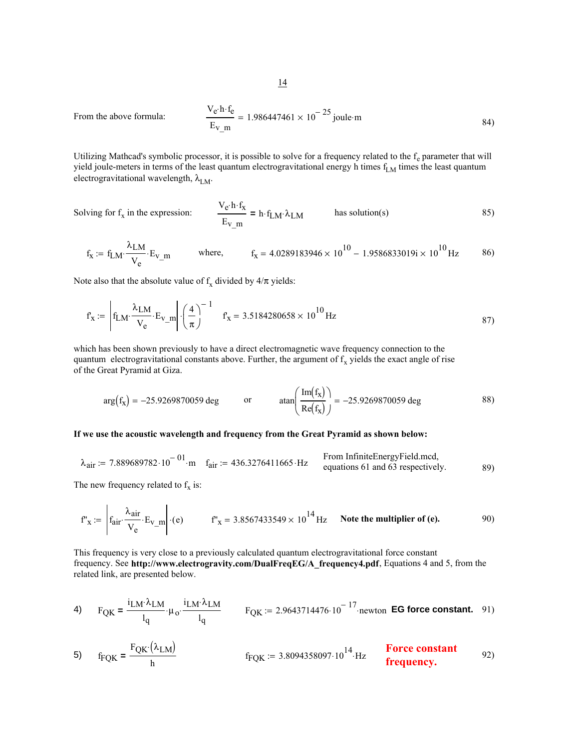$$
\frac{V_e \cdot h \cdot f_e}{E_{V_m}} = 1.986447461 \times 10^{-25} \text{ joule} \cdot m \tag{84}
$$

Utilizing Mathcad's symbolic processor, it is possible to solve for a frequency related to the  $f_e$  parameter that will yield joule-meters in terms of the least quantum electrogravitational energy h times  $f_{LM}$  times the least quantum electrogravitational wavelength,  $\lambda_{LM}$ .

Solving for  $f_x$  in the expression:

From the above formula:

$$
\frac{V_e \cdot h \cdot f_x}{E_V \cdot m} = h \cdot f_{LM} \cdot \lambda_{LM}
$$
 has solution(s) (85)

$$
f_x := f_{LM} \cdot \frac{\lambda_{LM}}{V_e} \cdot E_{v\_m}
$$
 where,  $f_x = 4.0289183946 \times 10^{10} - 1.9586833019i \times 10^{10} Hz$  86)

Note also that the absolute value of  $f_x$  divided by  $4/\pi$  yields:

$$
f'_X := \left| f_{LM} \cdot \frac{\lambda_{LM}}{V_e} \cdot E_{V_m} \right| \cdot \left( \frac{4}{\pi} \right)^{-1} \quad f'_X = 3.5184280658 \times 10^{10} \,\text{Hz} \tag{87}
$$

which has been shown previously to have a direct electromagnetic wave frequency connection to the quantum electrogravitational constants above. Further, the argument of  $f_x$  yields the exact angle of rise of the Great Pyramid at Giza.

$$
\arg(f_x) = -25.9269870059 \text{ deg} \qquad \text{or} \qquad \tan\left(\frac{\text{Im}(f_x)}{\text{Re}(f_x)}\right) = -25.9269870059 \text{ deg} \qquad (88)
$$

# **If we use the acoustic wavelength and frequency from the Great Pyramid as shown below:**

$$
\lambda_{\text{air}} := 7.889689782 \cdot 10^{-01} \cdot \text{m} \quad f_{\text{air}} := 436.3276411665 \cdot \text{Hz} \quad \begin{array}{c} \text{From InfiniteEnergyField.mcd,} \\ \text{equations 61 and 63 respectively.} \end{array} \tag{89}
$$

The new frequency related to  $f_x$  is:

$$
f'_{x} := \begin{vmatrix} f_{\text{air}} \cdot \frac{\lambda_{\text{air}}}{V_{e}} \cdot E_{v_{\text{max}}} \\ \end{vmatrix} \cdot (e) \qquad f'_{x} = 3.8567433549 \times 10^{14} \text{ Hz} \qquad \text{Note the multiplier of (e).} \tag{90}
$$

This frequency is very close to a previously calculated quantum electrogravitational force constant frequency. See **http://www.electrogravity.com/DualFreqEG/A\_frequency4.pdf**, Equations 4 and 5, from the related link, are presented below.

4) 
$$
F_{\text{QK}} = \frac{i_{\text{LM}} \lambda_{\text{LM}}}{l_q} \cdot \mu_o \cdot \frac{i_{\text{LM}} \lambda_{\text{LM}}}{l_q}
$$
  $F_{\text{QK}} := 2.9643714476 \cdot 10^{-17} \cdot \text{newton} \text{ EG force constant.}$  91)

5) 
$$
f_{FQK} = \frac{F_{QK}(\lambda_{LM})}{h}
$$
  $f_{FQK} := 3.8094358097.10^{14}$  Hz **Force constant frequency.** 92)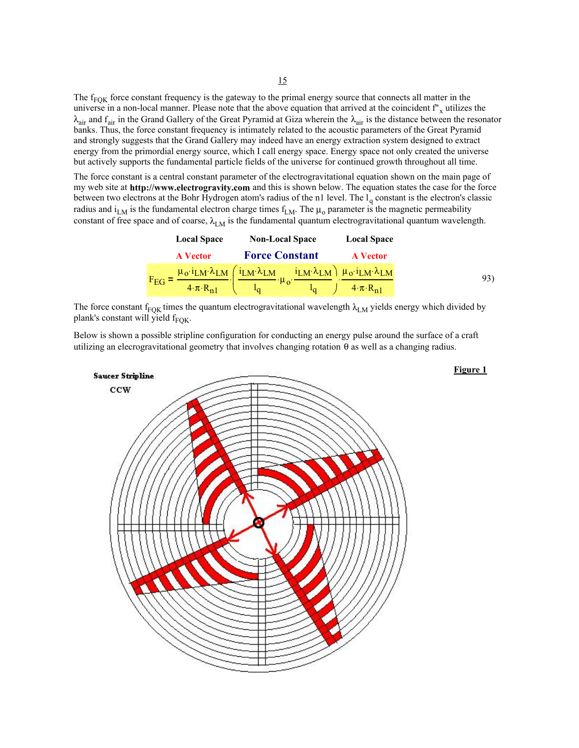The  $f_{FOK}$  force constant frequency is the gateway to the primal energy source that connects all matter in the universe in a non-local manner. Please note that the above equation that arrived at the coincident  $f''_x$  utilizes the  $\lambda_{air}$  and  $f_{air}$  in the Grand Gallery of the Great Pyramid at Giza wherein the  $\lambda_{air}$  is the distance between the resonator banks. Thus, the force constant frequency is intimately related to the acoustic parameters of the Great Pyramid and strongly suggests that the Grand Gallery may indeed have an energy extraction system designed to extract energy from the primordial energy source, which I call energy space. Energy space not only created the universe but actively supports the fundamental particle fields of the universe for continued growth throughout all time.

The force constant is a central constant parameter of the electrogravitational equation shown on the main page of my web site at **http://www.electrogravity.com** and this is shown below. The equation states the case for the force between two electrons at the Bohr Hydrogen atom's radius of the n1 level. The  $l_q$  constant is the electron's classic radius and  $i_{LM}$  is the fundamental electron charge times  $f_{LM}$ . The  $\mu_0$  parameter is the magnetic permeability constant of free space and of coarse,  $\lambda_{LM}$  is the fundamental quantum electrogravitational quantum wavelength.

| <b>Local Space</b>         | <b>Non-Local Space</b>                                                                                                                       | <b>Local Space</b>         |
|----------------------------|----------------------------------------------------------------------------------------------------------------------------------------------|----------------------------|
| <b>A</b> Vector            | <b>Force Constant</b>                                                                                                                        | <b>A</b> Vector            |
| $F_{EG}$ =                 | $\mu_0$ · $i_{LM}$ · $\lambda_{LM}$ ( $i_{LM}$ · $\lambda_{LM}$ $i_{LM}$ · $\lambda_{LM}$ ) $\mu_0$ · $i_{LM}$ · $\lambda_{LM}$<br>$\mu_{0}$ |                            |
| $4 \cdot \pi \cdot R_{n1}$ |                                                                                                                                              | $4 \cdot \pi \cdot R_{n1}$ |

The force constant f<sub>FOK</sub> times the quantum electrogravitational wavelength  $\lambda_{LM}$  yields energy which divided by plank's constant will yield  $f_{\text{FOK}}$ .

Below is shown a possible stripline configuration for conducting an energy pulse around the surface of a craft utilizing an elecrogravitational geometry that involves changing rotation θ as well as a changing radius.